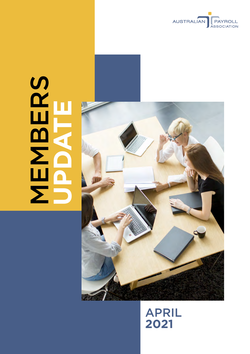

# **MBERS UPDATE**



# APRIL **2021**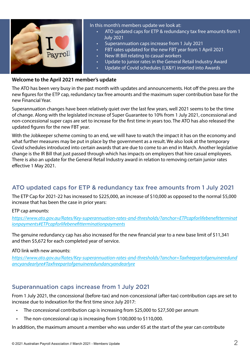

In this month's members update we look at:

- ATO updated caps for ETP & redundancy tax free amounts from 1 July 2021
- Superannuation caps increase from 1 July 2021
- FBT rates updated for the new FBT year from 1 April 2021
- New IR Bill relating to casual workers
- Update to junior rates in the General Retail Industry Award
- Update of Covid schedules (I,X&Y) inserted into Awards

#### **Welcome to the April 2021 member's update**

The ATO has been very busy in the past month with updates and announcements. Hot off the press are the new figures for the ETP cap, redundancy tax free amounts and the maximum super contribution base for the new Financial Year.

Superannuation changes have been relatively quiet over the last few years, well 2021 seems to be the time of change. Along with the legislated increase of Super Guarantee to 10% from 1 July 2021, concessional and non-concessional super caps are set to increase for the first time in years too. The ATO has also released the updated figures for the new FBT year.

With the Jobkeeper scheme coming to an end, we will have to watch the impact it has on the economy and what further measures may be put in place by the government as a result. We also look at the temporary Covid schedules introduced into certain awards that are due to come to an end in March. Another legislative change is the IR Bill that just passed through which has impacts on employers that hire casual employees. There is also an update for the General Retail Industry award in relation to removing certain junior rates effective 1 May 2021.

#### ATO updated caps for ETP & redundancy tax free amounts from 1 July 2021

The ETP Cap for 2021-22 has increased to \$225,000, an increase of \$10,000 as opposed to the normal \$5,000 increase that has been the case in prior years:

ETP cap amounts:

*[https://www.ato.gov.au/Rates/Key-superannuation-rates-and-thresholds/?anchor=ETPcapforlifebenefitterminat](https://www.ato.gov.au/Rates/Key-superannuation-rates-and-thresholds/?anchor=ETPcapforlifebenefitterminationpayments#ETPcapforlifebenefitterminationpayments) [ionpayments#ETPcapforlifebenefitterminationpayments](https://www.ato.gov.au/Rates/Key-superannuation-rates-and-thresholds/?anchor=ETPcapforlifebenefitterminationpayments#ETPcapforlifebenefitterminationpayments)*

The genuine redundancy cap has also increased for the new financial year to a new base limit of \$11,341 and then \$5,672 for each completed year of service.

#### ATO link with new amounts:

*[https://www.ato.gov.au/Rates/Key-superannuation-rates-and-thresholds/?anchor=Taxfreepartofgenuineredund](https://www.ato.gov.au/Rates/Key-superannuation-rates-and-thresholds/?anchor=Taxfreepartofgenuineredundancyandearlyre#Taxfreepartofgenuineredundancyandearlyre) [ancyandearlyre#Taxfreepartofgenuineredundancyandearlyre](https://www.ato.gov.au/Rates/Key-superannuation-rates-and-thresholds/?anchor=Taxfreepartofgenuineredundancyandearlyre#Taxfreepartofgenuineredundancyandearlyre)*

#### Superannuation caps increase from 1 July 2021

From 1 July 2021, the concessional (before-tax) and non-concessional (after-tax) contribution caps are set to increase due to indexation for the first time since July 2017:

- The concessional contribution cap is increasing from \$25,000 to \$27,500 per annum
- The non-concessional cap is increasing from \$100,000 to \$110,000.

In addition, the maximum amount a member who was under 65 at the start of the year can contribute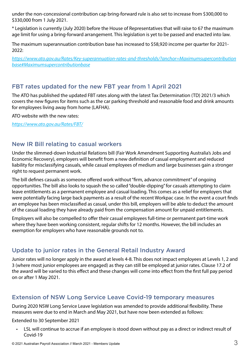under the non-concessional contribution cap bring-forward rule is also set to increase from \$300,000 to \$330,000 from 1 July 2021.

\* Legislation is currently (July 2020) before the House of Representatives that will raise to 67 the maximum age limit for using a bring-forward arrangement. This legislation is yet to be passed and enacted into law.

The maximum superannuation contribution base has increased to \$58,920 income per quarter for 2021- 2022:

*[https://www.ato.gov.au/Rates/Key-superannuation-rates-and-thresholds/?anchor=Maximumsupercontribution](https://www.ato.gov.au/Rates/Key-superannuation-rates-and-thresholds/?anchor=Maximumsupercontributionbase#Maximumsupercontributionbase) [base#Maximumsupercontributionbase](https://www.ato.gov.au/Rates/Key-superannuation-rates-and-thresholds/?anchor=Maximumsupercontributionbase#Maximumsupercontributionbase)*

#### FBT rates updated for the new FBT year from 1 April 2021

The ATO has published the updated FBT rates along with the latest Tax Determination (TD) 2021/3 which covers the new figures for items such as the car parking threshold and reasonable food and drink amounts for employees living away from home (LAFHA).

ATO website with the new rates:

*<https://www.ato.gov.au/Rates/FBT/>*

#### New IR Bill relating to casual workers

Under the slimmed-down Industrial Relations bill (Fair Work Amendment Supporting Australia's Jobs and Economic Recovery), employers will benefit from a new definition of casual employment and reduced liability for misclassifying casuals, while casual employees of medium and large businesses gain a stronger right to request permanent work.

The bill defines casuals as someone offered work without "firm, advance commitment" of ongoing opportunities. The bill also looks to squash the so called "double-dipping" for casuals attempting to claim leave entitlements as a permanent employee and casual loading. This comes as a relief for employers that were potentially facing large back payments as a result of the recent Workpac case. In the event a court finds an employee has been misclassified as casual, under this bill, employers will be able to deduct the amount of the casual loading they have already paid from the compensation amount for unpaid entitlements.

Employers will also be compelled to offer their casual employees full-time or permanent part-time work where they have been working consistent, regular shifts for 12 months. However, the bill includes an exemption for employers who have reasonable grounds not to.

#### Update to junior rates in the General Retail Industry Award

Junior rates will no longer apply in the award at levels 4-8. This does not impact employees at Levels 1, 2 and 3 (where most junior employees are engaged) as they can still be employed at junior rates. Clause 17.2 of the award will be varied to this effect and these changes will come into effect from the first full pay period on or after 1 May 2021.

#### Extension of NSW Long Service Leave Covid-19 temporary measures

During 2020 NSW Long Service Leave legislation was amended to provide additional flexibility. These measures were due to end in March and May 2021, but have now been extended as follows:

Extended to 30 September 2021

LSL will continue to accrue if an employee is stood down without pay as a direct or indirect result of Covid-19